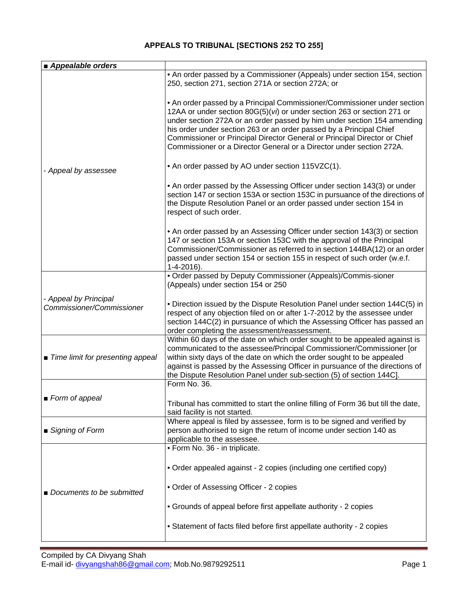## **APPEALS TO TRIBUNAL [SECTIONS 252 TO 255]**

| Appealable orders                                  |                                                                                                                                                                                                                                                                                                                                                                                                                                                            |
|----------------------------------------------------|------------------------------------------------------------------------------------------------------------------------------------------------------------------------------------------------------------------------------------------------------------------------------------------------------------------------------------------------------------------------------------------------------------------------------------------------------------|
|                                                    | • An order passed by a Commissioner (Appeals) under section 154, section<br>250, section 271, section 271A or section 272A; or                                                                                                                                                                                                                                                                                                                             |
| - Appeal by assessee                               | • An order passed by a Principal Commissioner/Commissioner under section<br>12AA or under section 80G(5)(vi) or under section 263 or section 271 or<br>under section 272A or an order passed by him under section 154 amending<br>his order under section 263 or an order passed by a Principal Chief<br>Commissioner or Principal Director General or Principal Director or Chief<br>Commissioner or a Director General or a Director under section 272A. |
|                                                    | • An order passed by AO under section 115VZC(1).                                                                                                                                                                                                                                                                                                                                                                                                           |
|                                                    | • An order passed by the Assessing Officer under section 143(3) or under<br>section 147 or section 153A or section 153C in pursuance of the directions of<br>the Dispute Resolution Panel or an order passed under section 154 in<br>respect of such order.                                                                                                                                                                                                |
|                                                    | • An order passed by an Assessing Officer under section 143(3) or section<br>147 or section 153A or section 153C with the approval of the Principal<br>Commissioner/Commissioner as referred to in section 144BA(12) or an order<br>passed under section 154 or section 155 in respect of such order (w.e.f.<br>$1 - 4 - 2016$ ).                                                                                                                          |
|                                                    | • Order passed by Deputy Commissioner (Appeals)/Commis-sioner<br>(Appeals) under section 154 or 250                                                                                                                                                                                                                                                                                                                                                        |
| - Appeal by Principal<br>Commissioner/Commissioner | • Direction issued by the Dispute Resolution Panel under section 144C(5) in<br>respect of any objection filed on or after 1-7-2012 by the assessee under<br>section 144C(2) in pursuance of which the Assessing Officer has passed an<br>order completing the assessment/reassessment.                                                                                                                                                                     |
| ■ Time limit for presenting appeal                 | Within 60 days of the date on which order sought to be appealed against is<br>communicated to the assessee/Principal Commissioner/Commissioner [or<br>within sixty days of the date on which the order sought to be appealed<br>against is passed by the Assessing Officer in pursuance of the directions of<br>the Dispute Resolution Panel under sub-section (5) of section 144C].                                                                       |
|                                                    | Form No. 36.                                                                                                                                                                                                                                                                                                                                                                                                                                               |
| ■ Form of appeal                                   | Tribunal has committed to start the online filling of Form 36 but till the date,<br>said facility is not started.                                                                                                                                                                                                                                                                                                                                          |
| ■ Signing of Form                                  | Where appeal is filed by assessee, form is to be signed and verified by<br>person authorised to sign the return of income under section 140 as<br>applicable to the assessee.                                                                                                                                                                                                                                                                              |
| Documents to be submitted                          | • Form No. 36 - in triplicate.                                                                                                                                                                                                                                                                                                                                                                                                                             |
|                                                    | • Order appealed against - 2 copies (including one certified copy)                                                                                                                                                                                                                                                                                                                                                                                         |
|                                                    | • Order of Assessing Officer - 2 copies                                                                                                                                                                                                                                                                                                                                                                                                                    |
|                                                    | • Grounds of appeal before first appellate authority - 2 copies                                                                                                                                                                                                                                                                                                                                                                                            |
|                                                    | • Statement of facts filed before first appellate authority - 2 copies                                                                                                                                                                                                                                                                                                                                                                                     |